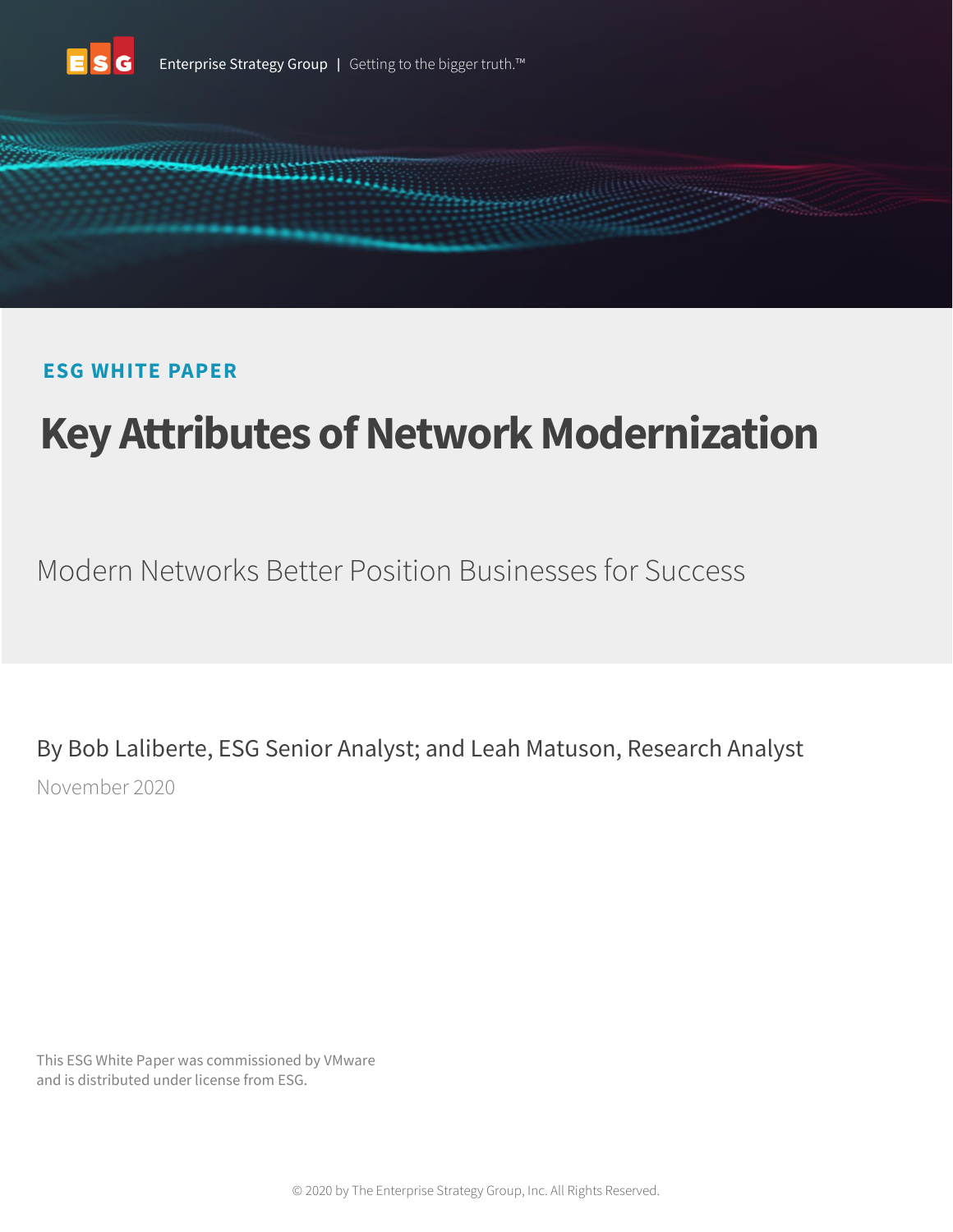



# **ESG WHITE PAPER**

# **Key Attributes of Network Modernization**

Modern Networks Better Position Businesses for Success

By Bob Laliberte, ESG Senior Analyst; and Leah Matuson, Research Analyst November 2020

This ESG White Paper was commissioned by VMware and is distributed under license from ESG.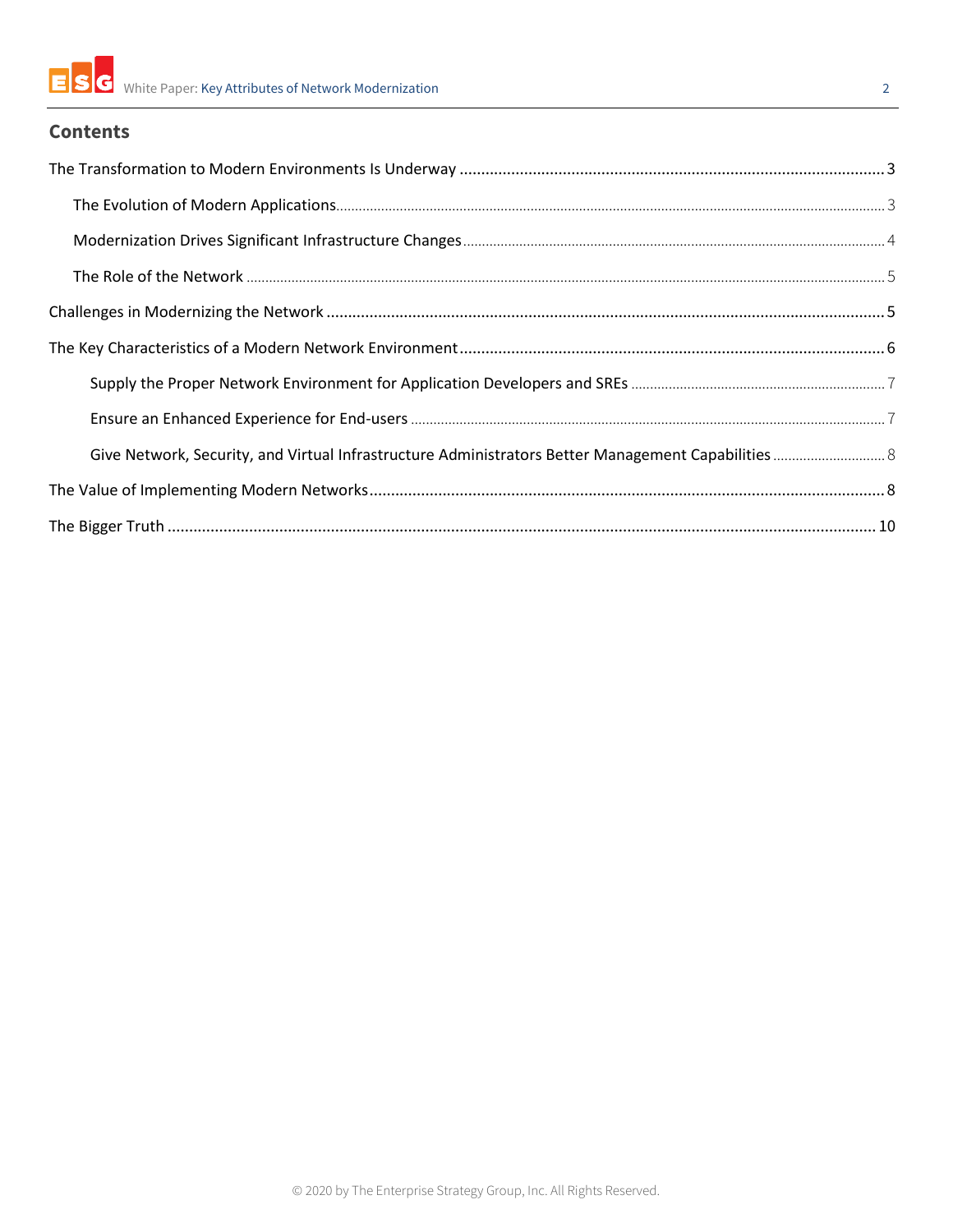

# **Contents**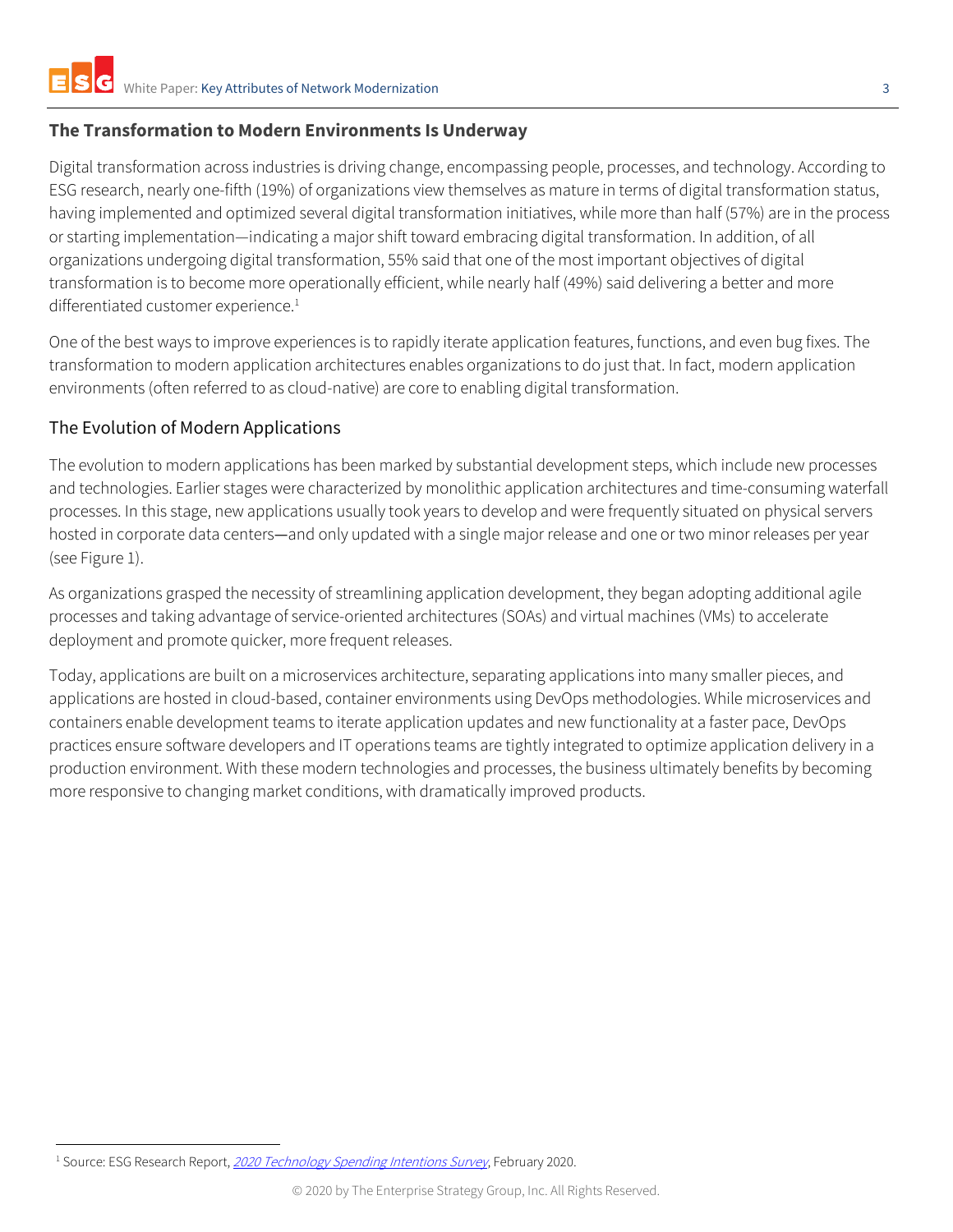# <span id="page-2-0"></span>**The Transformation to Modern Environments Is Underway**

Digital transformation across industries is driving change, encompassing people, processes, and technology. According to ESG research, nearly one-fifth (19%) of organizations view themselves as mature in terms of digital transformation status, having implemented and optimized several digital transformation initiatives, while more than half (57%) are in the process or starting implementation—indicating a major shift toward embracing digital transformation. In addition, of all organizations undergoing digital transformation, 55% said that one of the most important objectives of digital transformation is to become more operationally efficient, while nearly half (49%) said delivering a better and more differentiated customer experience.<sup>1</sup>

One of the best ways to improve experiences is to rapidly iterate application features, functions, and even bug fixes. The transformation to modern application architectures enables organizations to do just that. In fact, modern application environments (often referred to as cloud-native) are core to enabling digital transformation.

# <span id="page-2-1"></span>The Evolution of Modern Applications

The evolution to modern applications has been marked by substantial development steps, which include new processes and technologies. Earlier stages were characterized by monolithic application architectures and time-consuming waterfall processes. In this stage, new applications usually took years to develop and were frequently situated on physical servers hosted in corporate data centers—and only updated with a single major release and one or two minor releases per year (see Figure 1).

As organizations grasped the necessity of streamlining application development, they began adopting additional agile processes and taking advantage of service-oriented architectures (SOAs) and virtual machines (VMs) to accelerate deployment and promote quicker, more frequent releases.

Today, applications are built on a microservices architecture, separating applications into many smaller pieces, and applications are hosted in cloud-based, container environments using DevOps methodologies. While microservices and containers enable development teams to iterate application updates and new functionality at a faster pace, DevOps practices ensure software developers and IT operations teams are tightly integrated to optimize application delivery in a production environment. With these modern technologies and processes, the business ultimately benefits by becoming more responsive to changing market conditions, with dramatically improved products.

<sup>&</sup>lt;sup>1</sup> Source: ESG Research Report, [2020 Technology Spending Intentions Survey](https://research.esg-global.com/reportaction/2020TechnologySpendingIntentions/Toc), February 2020.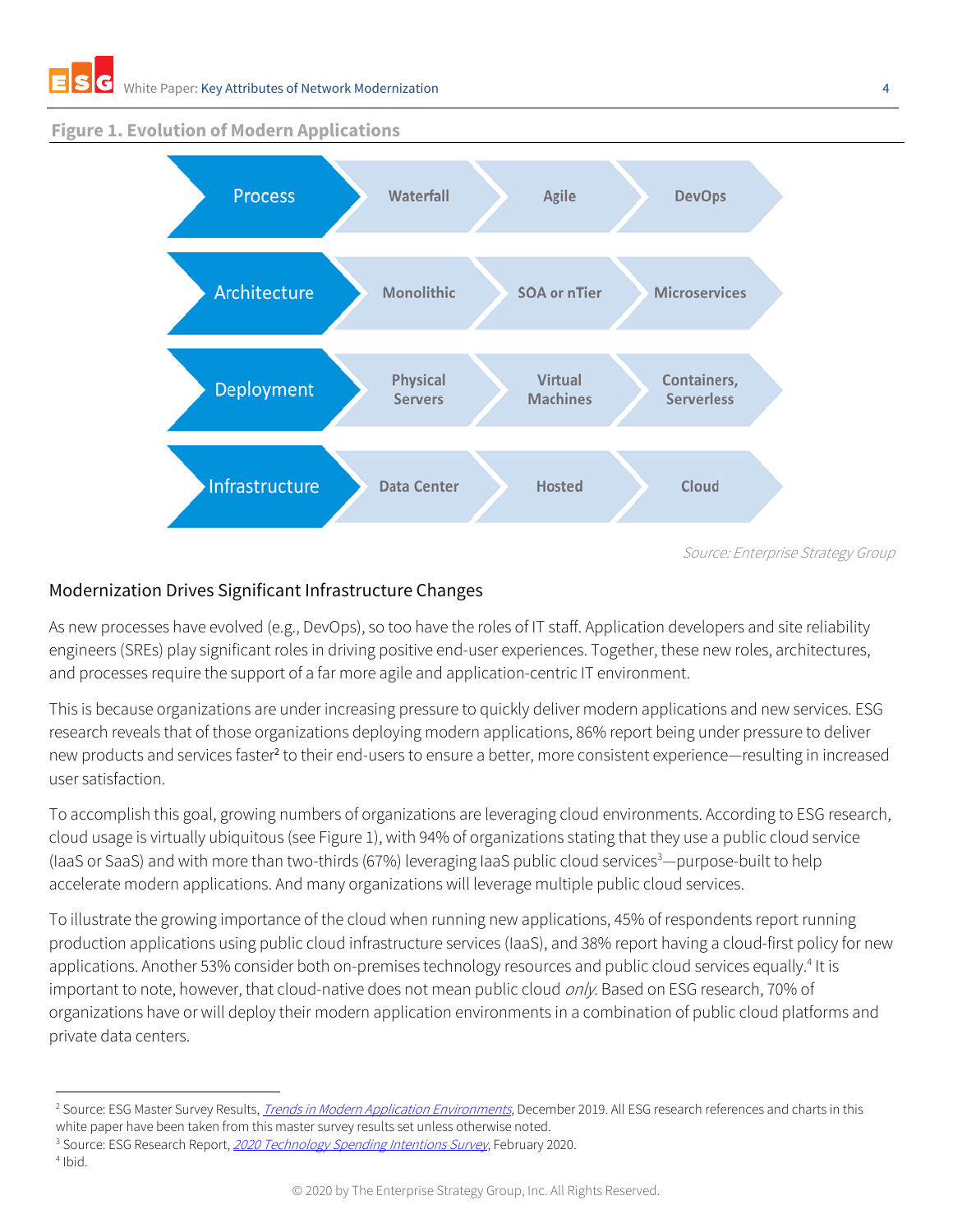#### **Figure 1. Evolution of Modern Applications**



Source: Enterprise Strategy Group

## <span id="page-3-0"></span>Modernization Drives Significant Infrastructure Changes

As new processes have evolved (e.g., DevOps), so too have the roles of IT staff. Application developers and site reliability engineers (SREs) play significant roles in driving positive end-user experiences. Together, these new roles, architectures, and processes require the support of a far more agile and application-centric IT environment.

This is because organizations are under increasing pressure to quickly deliver modern applications and new services. ESG research reveals that of those organizations deploying modern applications, 86% report being under pressure to deliver new products and services faster<sup>2</sup> to their end-users to ensure a better, more consistent experience—resulting in increased user satisfaction.

To accomplish this goal, growing numbers of organizations are leveraging cloud environments. According to ESG research, cloud usage is virtually ubiquitous (see Figure 1), with 94% of organizations stating that they use a public cloud service (IaaS or SaaS) and with more than two-thirds (67%) leveraging IaaS public cloud services <sup>3</sup>—purpose-built to help accelerate modern applications. And many organizations will leverage multiple public cloud services.

To illustrate the growing importance of the cloud when running new applications, 45% of respondents report running production applications using public cloud infrastructure services (IaaS), and 38% report having a cloud-first policy for new applications. Another 53% consider both on-premises technology resources and public cloud services equally.<sup>4</sup> It is important to note, however, that cloud-native does not mean public cloud only. Based on ESG research, 70% of organizations have or will deploy their modern application environments in a combination of public cloud platforms and private data centers.

4 Ibid.

<sup>&</sup>lt;sup>2</sup> Source: ESG Master Survey Results, *[Trends in Modern Application Environments](https://research.esg-global.com/reportaction/ContainerTrendsSurveyMSR2019/Toc)*, December 2019. All ESG research references and charts in this

white paper have been taken from this master survey results set unless otherwise noted.

<sup>&</sup>lt;sup>3</sup> Source: ESG Research Report, [2020 Technology Spending Intentions Survey](https://research.esg-global.com/reportaction/2020TechnologySpendingIntentions/Toc), February 2020.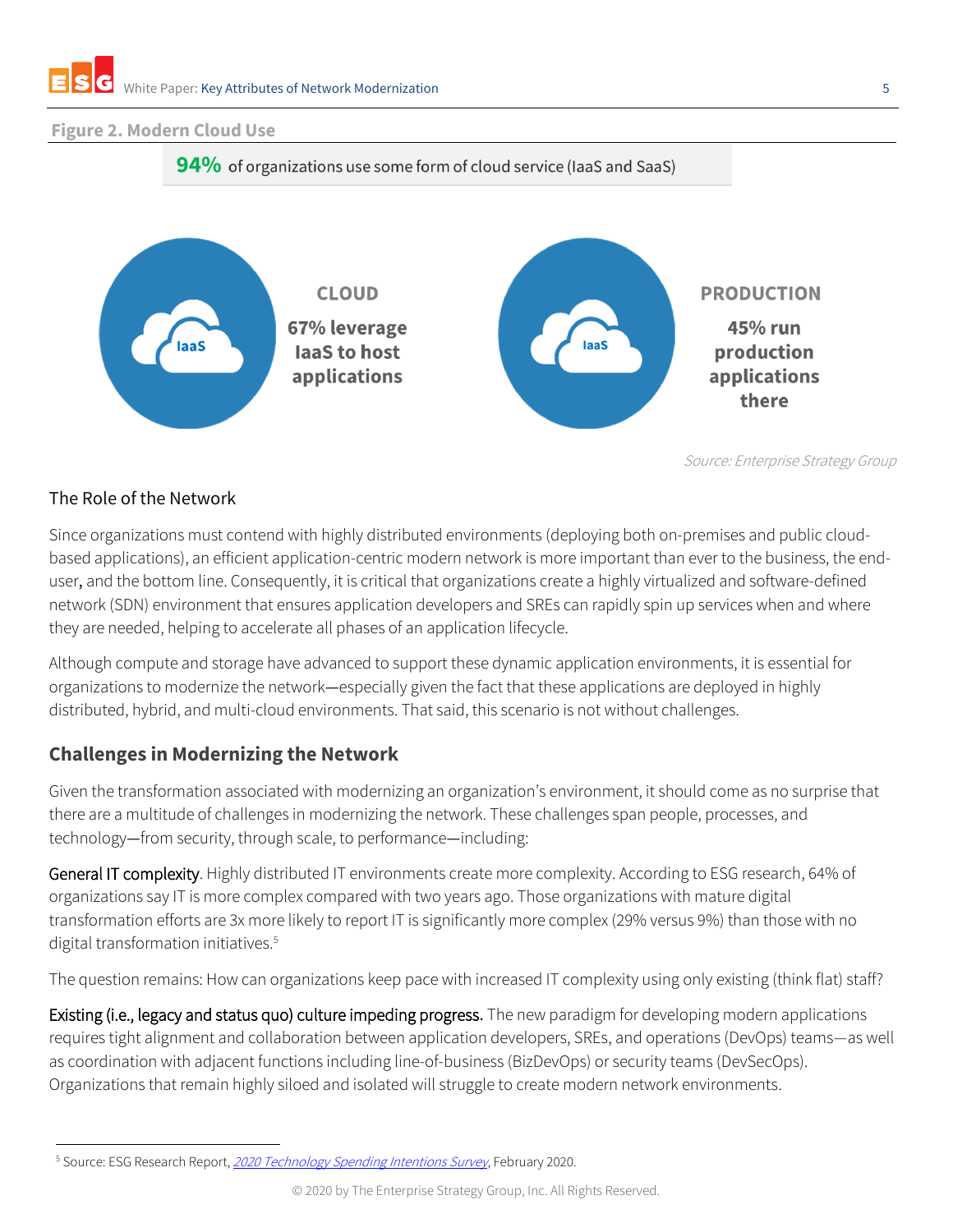#### **Figure 2. Modern Cloud Use**



Source: Enterprise Strategy Group

# <span id="page-4-0"></span>The Role of the Network

Since organizations must contend with highly distributed environments (deploying both on-premises and public cloudbased applications), an efficient application-centric modern network is more important than ever to the business, the enduser, and the bottom line. Consequently, it is critical that organizations create a highly virtualized and software-defined network (SDN) environment that ensures application developers and SREs can rapidly spin up services when and where they are needed, helping to accelerate all phases of an application lifecycle.

Although compute and storage have advanced to support these dynamic application environments, it is essential for organizations to modernize the network—especially given the fact that these applications are deployed in highly distributed, hybrid, and multi-cloud environments. That said, this scenario is not without challenges.

# <span id="page-4-1"></span>**Challenges in Modernizing the Network**

Given the transformation associated with modernizing an organization's environment, it should come as no surprise that there are a multitude of challenges in modernizing the network. These challenges span people, processes, and technology—from security, through scale, to performance—including:

General IT complexity. Highly distributed IT environments create more complexity. According to ESG research, 64% of organizations say IT is more complex compared with two years ago. Those organizations with mature digital transformation efforts are 3x more likely to report IT is significantly more complex (29% versus 9%) than those with no digital transformation initiatives. 5

The question remains: How can organizations keep pace with increased IT complexity using only existing (think flat) staff?

Existing (i.e., legacy and status quo) culture impeding progress. The new paradigm for developing modern applications requires tight alignment and collaboration between application developers, SREs, and operations (DevOps) teams—as well as coordination with adjacent functions including line-of-business (BizDevOps) or security teams (DevSecOps). Organizations that remain highly siloed and isolated will struggle to create modern network environments.

<sup>&</sup>lt;sup>5</sup> Source: ESG Research Report, [2020 Technology Spending Intentions Survey](https://research.esg-global.com/reportaction/2020TechnologySpendingIntentions/Toc), February 2020.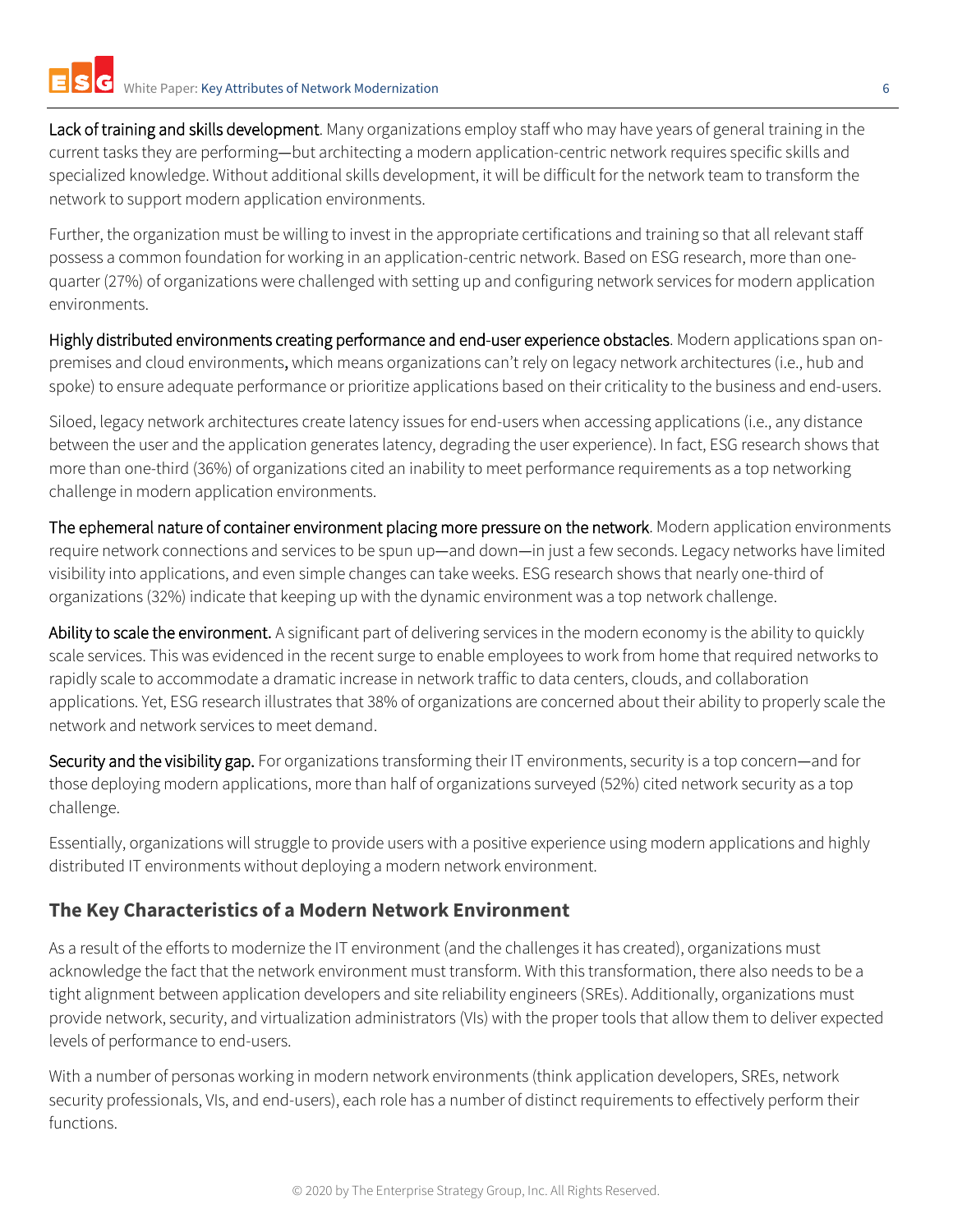Lack of training and skills development. Many organizations employ staff who may have years of general training in the current tasks they are performing—but architecting a modern application-centric network requires specific skills and specialized knowledge. Without additional skills development, it will be difficult for the network team to transform the network to support modern application environments.

Further, the organization must be willing to invest in the appropriate certifications and training so that all relevant staff possess a common foundation for working in an application-centric network. Based on ESG research, more than onequarter (27%) of organizations were challenged with setting up and configuring network services for modern application environments.

Highly distributed environments creating performance and end-user experience obstacles. Modern applications span onpremises and cloud environments, which means organizations can't rely on legacy network architectures (i.e., hub and spoke) to ensure adequate performance or prioritize applications based on their criticality to the business and end-users.

Siloed, legacy network architectures create latency issues for end-users when accessing applications (i.e., any distance between the user and the application generates latency, degrading the user experience). In fact, ESG research shows that more than one-third (36%) of organizations cited an inability to meet performance requirements as a top networking challenge in modern application environments.

The ephemeral nature of container environment placing more pressure on the network. Modern application environments require network connections and services to be spun up—and down—in just a few seconds. Legacy networks have limited visibility into applications, and even simple changes can take weeks. ESG research shows that nearly one-third of organizations (32%) indicate that keeping up with the dynamic environment was a top network challenge.

Ability to scale the environment. A significant part of delivering services in the modern economy is the ability to quickly scale services. This was evidenced in the recent surge to enable employees to work from home that required networks to rapidly scale to accommodate a dramatic increase in network traffic to data centers, clouds, and collaboration applications. Yet, ESG research illustrates that 38% of organizations are concerned about their ability to properly scale the network and network services to meet demand.

Security and the visibility gap. For organizations transforming their IT environments, security is a top concern—and for those deploying modern applications, more than half of organizations surveyed (52%) cited network security as a top challenge.

Essentially, organizations will struggle to provide users with a positive experience using modern applications and highly distributed IT environments without deploying a modern network environment.

# <span id="page-5-0"></span>**The Key Characteristics of a Modern Network Environment**

As a result of the efforts to modernize the IT environment (and the challenges it has created), organizations must acknowledge the fact that the network environment must transform. With this transformation, there also needs to be a tight alignment between application developers and site reliability engineers (SREs). Additionally, organizations must provide network, security, and virtualization administrators (VIs) with the proper tools that allow them to deliver expected levels of performance to end-users.

With a number of personas working in modern network environments (think application developers, SREs, network security professionals, VIs, and end-users), each role has a number of distinct requirements to effectively perform their functions.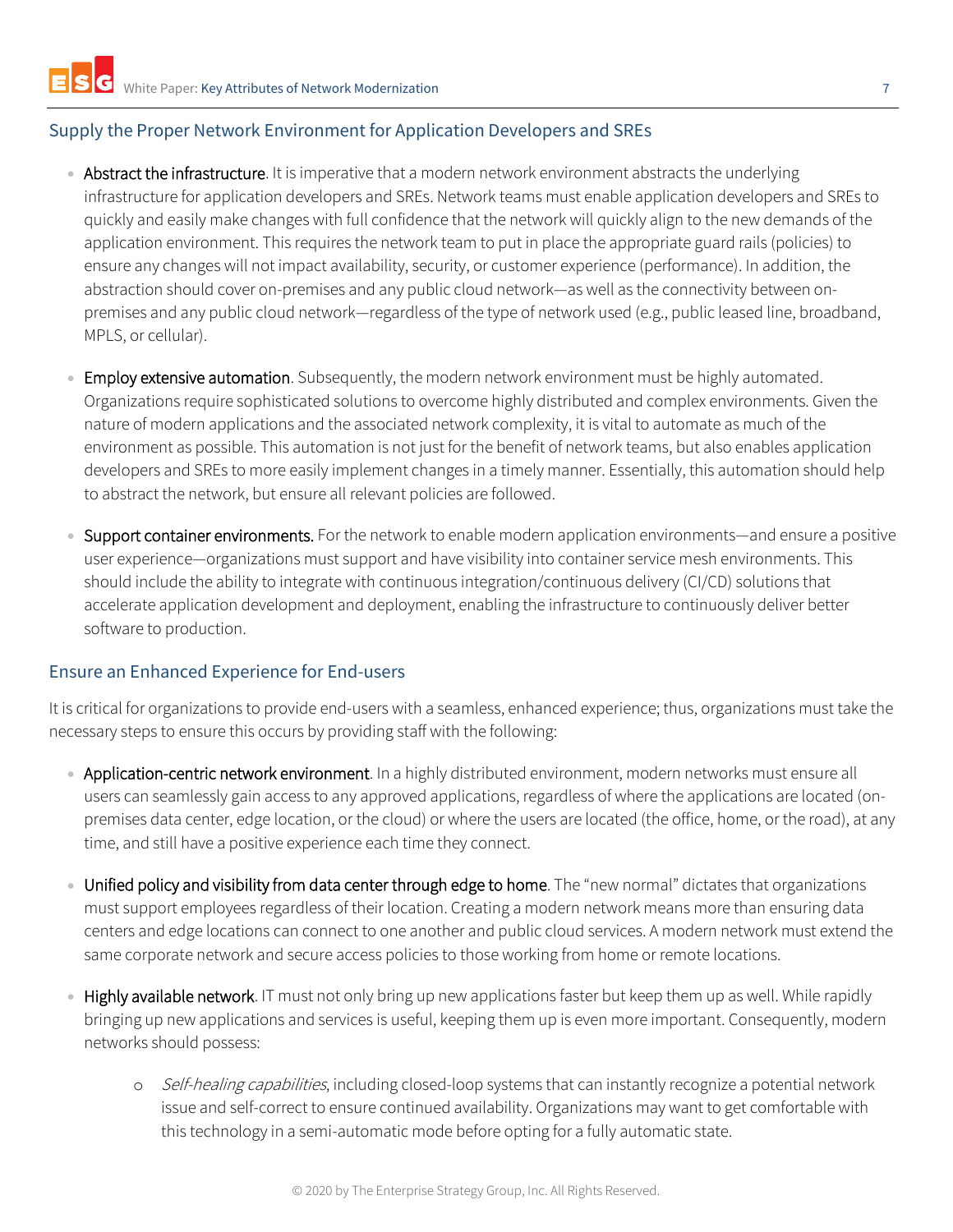#### <span id="page-6-0"></span>Supply the Proper Network Environment for Application Developers and SREs

- Abstract the infrastructure. It is imperative that a modern network environment abstracts the underlying infrastructure for application developers and SREs. Network teams must enable application developers and SREs to quickly and easily make changes with full confidence that the network will quickly align to the new demands of the application environment. This requires the network team to put in place the appropriate guard rails (policies) to ensure any changes will not impact availability, security, or customer experience (performance). In addition, the abstraction should cover on-premises and any public cloud network—as well as the connectivity between onpremises and any public cloud network—regardless of the type of network used (e.g., public leased line, broadband, MPLS, or cellular).
- Employ extensive automation. Subsequently, the modern network environment must be highly automated. Organizations require sophisticated solutions to overcome highly distributed and complex environments. Given the nature of modern applications and the associated network complexity, it is vital to automate as much of the environment as possible. This automation is not just for the benefit of network teams, but also enables application developers and SREs to more easily implement changes in a timely manner. Essentially, this automation should help to abstract the network, but ensure all relevant policies are followed.
- Support container environments. For the network to enable modern application environments—and ensure a positive user experience—organizations must support and have visibility into container service mesh environments. This should include the ability to integrate with continuous integration/continuous delivery (CI/CD) solutions that accelerate application development and deployment, enabling the infrastructure to continuously deliver better software to production.

#### <span id="page-6-1"></span>Ensure an Enhanced Experience for End-users

It is critical for organizations to provide end-users with a seamless, enhanced experience; thus, organizations must take the necessary steps to ensure this occurs by providing staff with the following:

- Application-centric network environment. In a highly distributed environment, modern networks must ensure all users can seamlessly gain access to any approved applications, regardless of where the applications are located (onpremises data center, edge location, or the cloud) or where the users are located (the office, home, or the road), at any time, and still have a positive experience each time they connect.
- Unified policy and visibility from data center through edge to home. The "new normal" dictates that organizations must support employees regardless of their location. Creating a modern network means more than ensuring data centers and edge locations can connect to one another and public cloud services. A modern network must extend the same corporate network and secure access policies to those working from home or remote locations.
- Highly available network. IT must not only bring up new applications faster but keep them up as well. While rapidly bringing up new applications and services is useful, keeping them up is even more important. Consequently, modern networks should possess:
	- o *Self-healing capabilities*, including closed-loop systems that can instantly recognize a potential network issue and self-correct to ensure continued availability. Organizations may want to get comfortable with this technology in a semi-automatic mode before opting for a fully automatic state.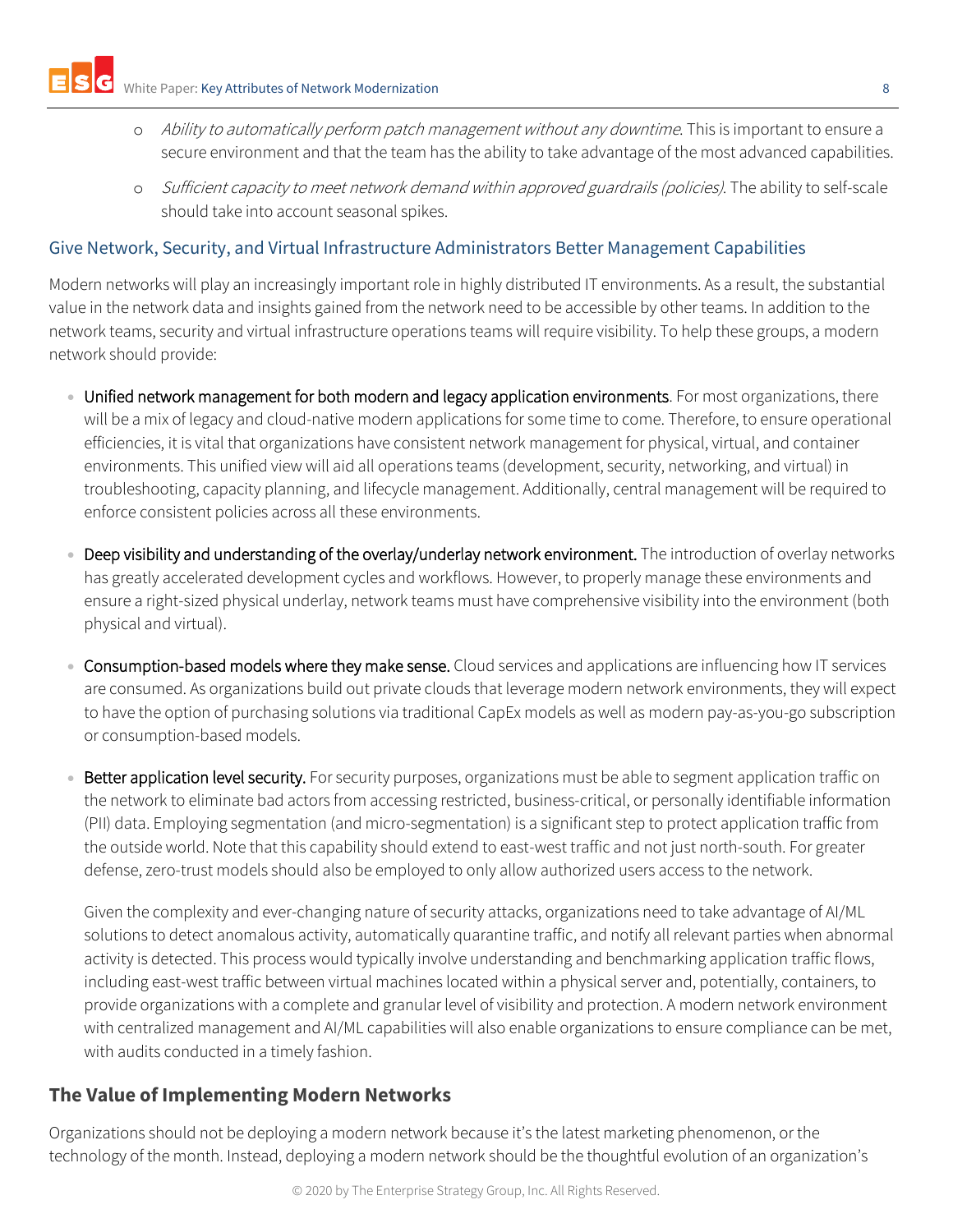- o Ability to automatically perform patch management without any downtime. This is important to ensure a secure environment and that the team has the ability to take advantage of the most advanced capabilities.
- Sufficient capacity to meet network demand within approved guardrails (policies). The ability to self-scale should take into account seasonal spikes.

# <span id="page-7-0"></span>Give Network, Security, and Virtual Infrastructure Administrators Better Management Capabilities

Modern networks will play an increasingly important role in highly distributed IT environments. As a result, the substantial value in the network data and insights gained from the network need to be accessible by other teams. In addition to the network teams, security and virtual infrastructure operations teams will require visibility. To help these groups, a modern network should provide:

- Unified network management for both modern and legacy application environments. For most organizations, there will be a mix of legacy and cloud-native modern applications for some time to come. Therefore, to ensure operational efficiencies, it is vital that organizations have consistent network management for physical, virtual, and container environments. This unified view will aid all operations teams (development, security, networking, and virtual) in troubleshooting, capacity planning, and lifecycle management. Additionally, central management will be required to enforce consistent policies across all these environments.
- Deep visibility and understanding of the overlay/underlay network environment. The introduction of overlay networks has greatly accelerated development cycles and workflows. However, to properly manage these environments and ensure a right-sized physical underlay, network teams must have comprehensive visibility into the environment (both physical and virtual).
- Consumption-based models where they make sense. Cloud services and applications are influencing how IT services are consumed. As organizations build out private clouds that leverage modern network environments, they will expect to have the option of purchasing solutions via traditional CapEx models as well as modern pay-as-you-go subscription or consumption-based models.
- Better application level security. For security purposes, organizations must be able to segment application traffic on the network to eliminate bad actors from accessing restricted, business-critical, or personally identifiable information (PII) data. Employing segmentation (and micro-segmentation) is a significant step to protect application traffic from the outside world. Note that this capability should extend to east-west traffic and not just north-south. For greater defense, zero-trust models should also be employed to only allow authorized users access to the network.

Given the complexity and ever-changing nature of security attacks, organizations need to take advantage of AI/ML solutions to detect anomalous activity, automatically quarantine traffic, and notify all relevant parties when abnormal activity is detected. This process would typically involve understanding and benchmarking application traffic flows, including east-west traffic between virtual machines located within a physical server and, potentially, containers, to provide organizations with a complete and granular level of visibility and protection. A modern network environment with centralized management and AI/ML capabilities will also enable organizations to ensure compliance can be met, with audits conducted in a timely fashion.

# <span id="page-7-1"></span>**The Value of Implementing Modern Networks**

Organizations should not be deploying a modern network because it's the latest marketing phenomenon, or the technology of the month. Instead, deploying a modern network should be the thoughtful evolution of an organization's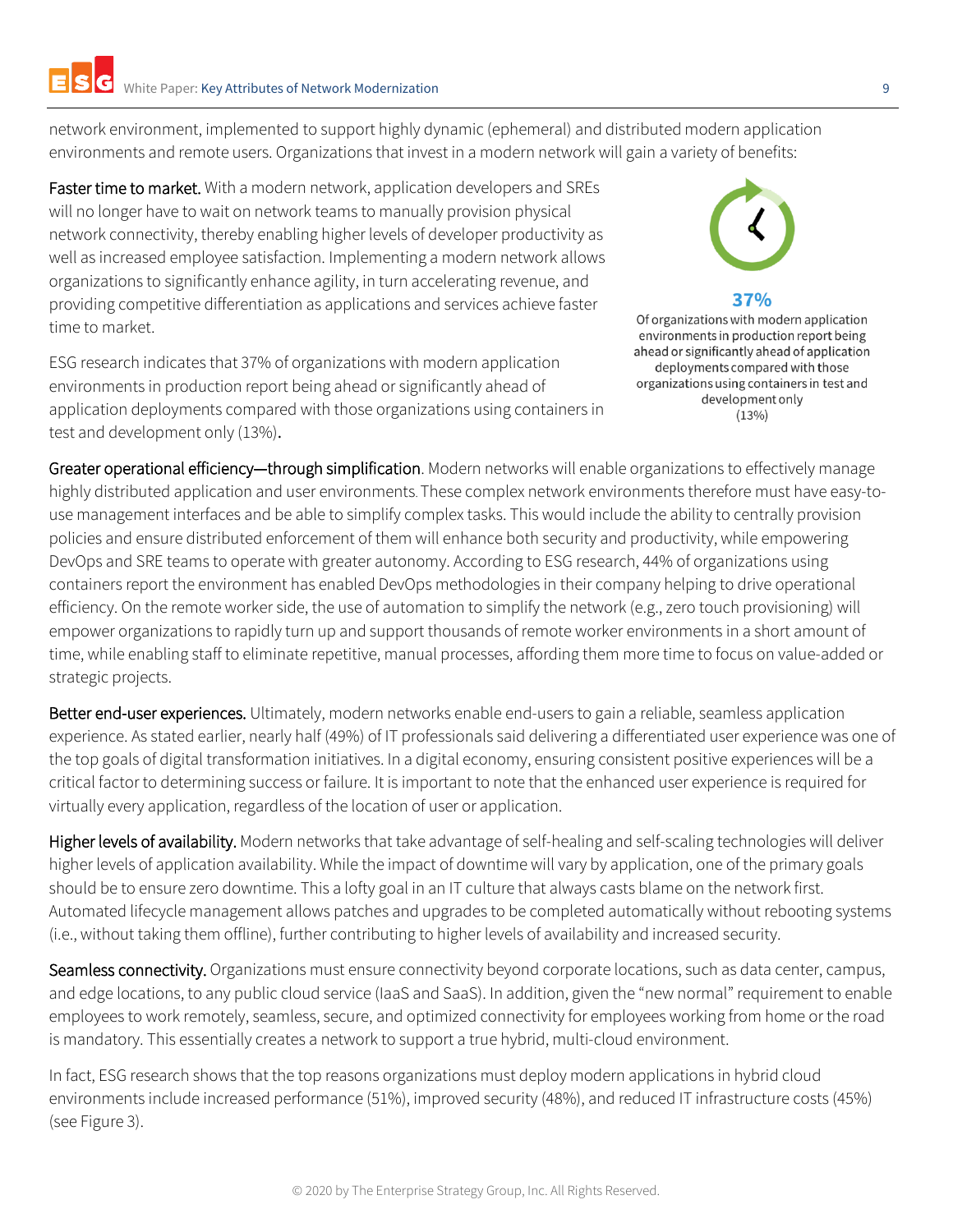network environment, implemented to support highly dynamic (ephemeral) and distributed modern application environments and remote users. Organizations that invest in a modern network will gain a variety of benefits:

Faster time to market. With a modern network, application developers and SREs will no longer have to wait on network teams to manually provision physical network connectivity, thereby enabling higher levels of developer productivity as well as increased employee satisfaction. Implementing a modern network allows organizations to significantly enhance agility, in turn accelerating revenue, and providing competitive differentiation as applications and services achieve faster time to market.

ESG research indicates that 37% of organizations with modern application environments in production report being ahead or significantly ahead of application deployments compared with those organizations using containers in test and development only (13%).

37%

Of organizations with modern application environments in production report being ahead or significantly ahead of application deployments compared with those organizations using containers in test and development only  $(13%)$ 

Greater operational efficiency-through simplification. Modern networks will enable organizations to effectively manage highly distributed application and user environments. These complex network environments therefore must have easy-touse management interfaces and be able to simplify complex tasks. This would include the ability to centrally provision policies and ensure distributed enforcement of them will enhance both security and productivity, while empowering DevOps and SRE teams to operate with greater autonomy. According to ESG research, 44% of organizations using containers report the environment has enabled DevOps methodologies in their company helping to drive operational efficiency. On the remote worker side, the use of automation to simplify the network (e.g., zero touch provisioning) will empower organizations to rapidly turn up and support thousands of remote worker environments in a short amount of time, while enabling staff to eliminate repetitive, manual processes, affording them more time to focus on value-added or strategic projects.

Better end-user experiences. Ultimately, modern networks enable end-users to gain a reliable, seamless application experience. As stated earlier, nearly half (49%) of IT professionals said delivering a differentiated user experience was one of the top goals of digital transformation initiatives. In a digital economy, ensuring consistent positive experiences will be a critical factor to determining success or failure. It is important to note that the enhanced user experience is required for virtually every application, regardless of the location of user or application.

Higher levels of availability. Modern networks that take advantage of self-healing and self-scaling technologies will deliver higher levels of application availability. While the impact of downtime will vary by application, one of the primary goals should be to ensure zero downtime. This a lofty goal in an IT culture that always casts blame on the network first. Automated lifecycle management allows patches and upgrades to be completed automatically without rebooting systems (i.e., without taking them offline), further contributing to higher levels of availability and increased security.

Seamless connectivity. Organizations must ensure connectivity beyond corporate locations, such as data center, campus, and edge locations, to any public cloud service (IaaS and SaaS). In addition, given the "new normal" requirement to enable employees to work remotely, seamless, secure, and optimized connectivity for employees working from home or the road is mandatory. This essentially creates a network to support a true hybrid, multi-cloud environment.

In fact, ESG research shows that the top reasons organizations must deploy modern applications in hybrid cloud environments include increased performance (51%), improved security (48%), and reduced IT infrastructure costs (45%) (see Figure 3).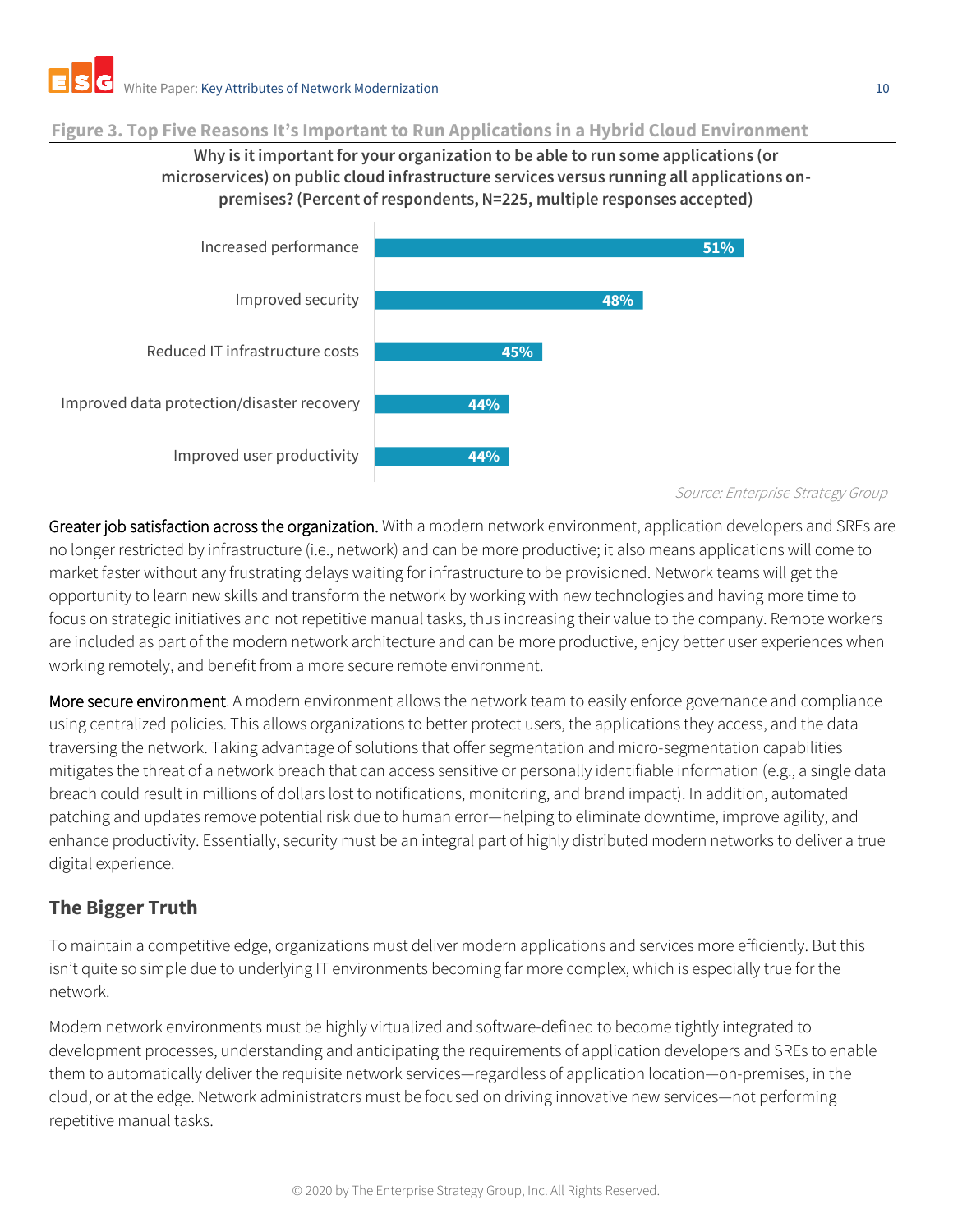#### **Figure 3. Top Five Reasons It's Important to Run Applications in a Hybrid Cloud Environment**

## **Why is it important for your organization to be able to run some applications (or microservices) on public cloud infrastructure services versus running all applications onpremises? (Percent of respondents, N=225, multiple responses accepted)**



Source: Enterprise Strategy Group

Greater job satisfaction across the organization. With a modern network environment, application developers and SREs are no longer restricted by infrastructure (i.e., network) and can be more productive; it also means applications will come to market faster without any frustrating delays waiting for infrastructure to be provisioned. Network teams will get the opportunity to learn new skills and transform the network by working with new technologies and having more time to focus on strategic initiatives and not repetitive manual tasks, thus increasing their value to the company. Remote workers are included as part of the modern network architecture and can be more productive, enjoy better user experiences when working remotely, and benefit from a more secure remote environment.

More secure environment. A modern environment allows the network team to easily enforce governance and compliance using centralized policies. This allows organizations to better protect users, the applications they access, and the data traversing the network. Taking advantage of solutions that offer segmentation and micro-segmentation capabilities mitigates the threat of a network breach that can access sensitive or personally identifiable information (e.g., a single data breach could result in millions of dollars lost to notifications, monitoring, and brand impact). In addition, automated patching and updates remove potential risk due to human error—helping to eliminate downtime, improve agility, and enhance productivity. Essentially, security must be an integral part of highly distributed modern networks to deliver a true digital experience.

# <span id="page-9-0"></span>**The Bigger Truth**

To maintain a competitive edge, organizations must deliver modern applications and services more efficiently. But this isn't quite so simple due to underlying IT environments becoming far more complex, which is especially true for the network.

Modern network environments must be highly virtualized and software-defined to become tightly integrated to development processes, understanding and anticipating the requirements of application developers and SREs to enable them to automatically deliver the requisite network services—regardless of application location—on-premises, in the cloud, or at the edge. Network administrators must be focused on driving innovative new services—not performing repetitive manual tasks.